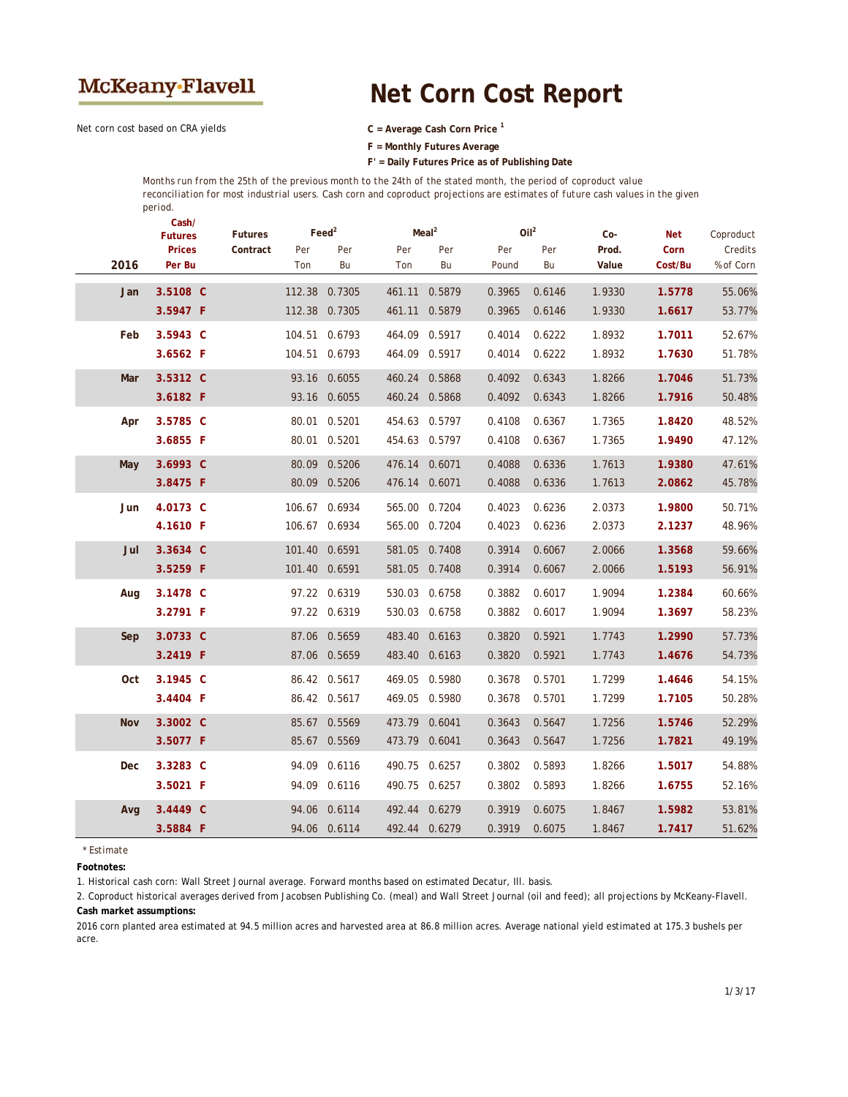

## **Net Corn Cost Report**

Net corn cost based on CRA yields **C = Average Cash Corn Price <sup>1</sup>**

**F = Monthly Futures Average**

**F' = Daily Futures Price as of Publishing Date**

*Months run from the 25th of the previous month to the 24th of the stated month, the period of coproduct value reconciliation for most industrial users. Cash corn and coproduct projections are estimates of future cash values in the given period.*

|      | Cash/<br><b>Futures</b><br><b>Prices</b> | <b>Futures</b><br>Contract | $\text{Feed}^2$<br>Per<br>Per |               | Meal <sup>2</sup><br>Per<br>Per |               | Oil <sup>2</sup><br>Per<br>Per |        | Co-<br>Prod. | Net<br>Corn | Coproduct<br>Credits |
|------|------------------------------------------|----------------------------|-------------------------------|---------------|---------------------------------|---------------|--------------------------------|--------|--------------|-------------|----------------------|
| 2016 | Per Bu                                   |                            | Ton                           | Bu            | Ton                             | Bu            | Pound                          | Bu     | Value        | Cost/Bu     | % of Corn            |
| Jan  | 3.5108 C                                 |                            | 112.38                        | 0.7305        | 461.11                          | 0.5879        | 0.3965                         | 0.6146 | 1.9330       | 1.5778      | 55.06%               |
|      | 3.5947 F                                 |                            | 112.38 0.7305                 |               | 461.11                          | 0.5879        | 0.3965                         | 0.6146 | 1.9330       | 1.6617      | 53.77%               |
| Feb  | 3.5943 C                                 |                            |                               | 104.51 0.6793 | 464.09                          | 0.5917        | 0.4014                         | 0.6222 | 1.8932       | 1.7011      | 52.67%               |
|      | 3.6562 F                                 |                            |                               | 104.51 0.6793 |                                 | 464.09 0.5917 | 0.4014                         | 0.6222 | 1.8932       | 1.7630      | 51.78%               |
| Mar  | 3.5312 C                                 |                            |                               | 93.16 0.6055  | 460.24                          | 0.5868        | 0.4092                         | 0.6343 | 1.8266       | 1.7046      | 51.73%               |
|      | 3.6182 F                                 |                            |                               | 93.16 0.6055  |                                 | 460.24 0.5868 | 0.4092                         | 0.6343 | 1.8266       | 1.7916      | 50.48%               |
| Apr  | 3.5785 C                                 |                            |                               | 80.01 0.5201  |                                 | 454.63 0.5797 | 0.4108                         | 0.6367 | 1.7365       | 1.8420      | 48.52%               |
|      | 3.6855 F                                 |                            |                               | 80.01 0.5201  |                                 | 454.63 0.5797 | 0.4108                         | 0.6367 | 1.7365       | 1.9490      | 47.12%               |
| May  | 3.6993 C                                 |                            | 80.09                         | 0.5206        | 476.14                          | 0.6071        | 0.4088                         | 0.6336 | 1.7613       | 1.9380      | 47.61%               |
|      | 3.8475 F                                 |                            |                               | 80.09 0.5206  | 476.14 0.6071                   |               | 0.4088                         | 0.6336 | 1.7613       | 2.0862      | 45.78%               |
| Jun  | 4.0173 C                                 |                            |                               | 106.67 0.6934 | 565.00                          | 0.7204        | 0.4023                         | 0.6236 | 2.0373       | 1.9800      | 50.71%               |
|      | 4.1610 F                                 |                            |                               | 106.67 0.6934 |                                 | 565.00 0.7204 | 0.4023                         | 0.6236 | 2.0373       | 2.1237      | 48.96%               |
| Jul  | 3.3634 C                                 |                            |                               | 101.40 0.6591 | 581.05                          | 0.7408        | 0.3914                         | 0.6067 | 2.0066       | 1.3568      | 59.66%               |
|      | 3.5259 F                                 |                            | 101.40 0.6591                 |               |                                 | 581.05 0.7408 | 0.3914                         | 0.6067 | 2.0066       | 1.5193      | 56.91%               |
| Aug  | 3.1478 C                                 |                            |                               | 97.22 0.6319  |                                 | 530.03 0.6758 | 0.3882                         | 0.6017 | 1.9094       | 1.2384      | 60.66%               |
|      | 3.2791 F                                 |                            |                               | 97.22 0.6319  |                                 | 530.03 0.6758 | 0.3882                         | 0.6017 | 1.9094       | 1.3697      | 58.23%               |
| Sep  | 3.0733 C                                 |                            |                               | 87.06 0.5659  | 483.40                          | 0.6163        | 0.3820                         | 0.5921 | 1.7743       | 1.2990      | 57.73%               |
|      | 3.2419 F                                 |                            |                               | 87.06 0.5659  |                                 | 483.40 0.6163 | 0.3820                         | 0.5921 | 1.7743       | 1.4676      | 54.73%               |
| Oct  | 3.1945 C                                 |                            |                               | 86.42 0.5617  | 469.05                          | 0.5980        | 0.3678                         | 0.5701 | 1.7299       | 1.4646      | 54.15%               |
|      | 3.4404 F                                 |                            |                               | 86.42 0.5617  |                                 | 469.05 0.5980 | 0.3678                         | 0.5701 | 1.7299       | 1.7105      | 50.28%               |
| Nov  | 3.3002 C                                 |                            |                               | 85.67 0.5569  | 473.79                          | 0.6041        | 0.3643                         | 0.5647 | 1.7256       | 1.5746      | 52.29%               |
|      | 3.5077 F                                 |                            |                               | 85.67 0.5569  | 473.79                          | 0.6041        | 0.3643                         | 0.5647 | 1.7256       | 1.7821      | 49.19%               |
| Dec  | 3.3283 C                                 |                            |                               | 94.09 0.6116  | 490.75                          | 0.6257        | 0.3802                         | 0.5893 | 1.8266       | 1.5017      | 54.88%               |
|      | 3.5021 F                                 |                            |                               | 94.09 0.6116  |                                 | 490.75 0.6257 | 0.3802                         | 0.5893 | 1.8266       | 1.6755      | 52.16%               |
| Avg  | 3.4449 C                                 |                            |                               | 94.06 0.6114  | 492.44                          | 0.6279        | 0.3919                         | 0.6075 | 1.8467       | 1.5982      | 53.81%               |
|      | 3.5884 F                                 |                            |                               | 94.06 0.6114  |                                 | 492.44 0.6279 | 0.3919                         | 0.6075 | 1.8467       | 1.7417      | 51.62%               |

*\* Estimate*

**Footnotes:**

1. Historical cash corn: Wall Street Journal average. Forward months based on estimated Decatur, Ill. basis.

2. Coproduct historical averages derived from Jacobsen Publishing Co. (meal) and Wall Street Journal (oil and feed); all projections by McKeany-Flavell. **Cash market assumptions:**

2016 corn planted area estimated at 94.5 million acres and harvested area at 86.8 million acres. Average national yield estimated at 175.3 bushels per acre.